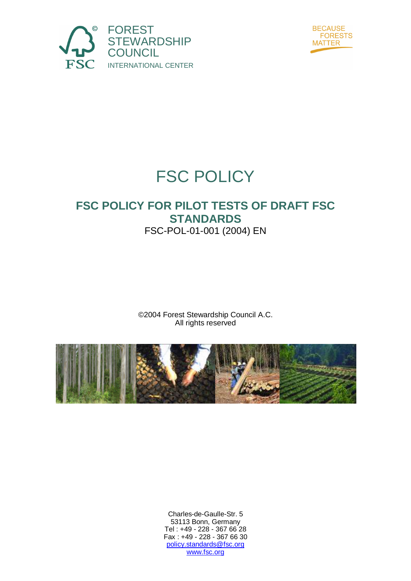



# FSC POLICY

## **FSC POLICY FOR PILOT TESTS OF DRAFT FSC STANDARDS**  FSC-POL-01-001 (2004) EN

©2004 Forest Stewardship Council A.C. All rights reserved



Charles-de-Gaulle-Str. 5 53113 Bonn, Germany Tel : +49 - 228 - 367 66 28 Fax : +49 - 228 - 367 66 30 policy.standards@fsc.org www.fsc.org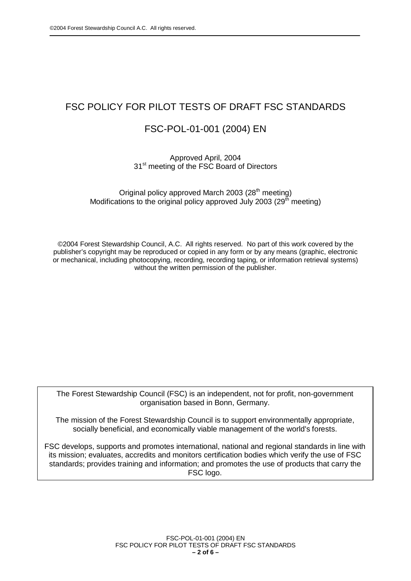## FSC POLICY FOR PILOT TESTS OF DRAFT FSC STANDARDS

### FSC-POL-01-001 (2004) EN

### Approved April, 2004 31<sup>st</sup> meeting of the FSC Board of Directors

Original policy approved March 2003 ( $28<sup>th</sup>$  meeting) Modifications to the original policy approved July 2003 ( $29<sup>th</sup>$  meeting)

©2004 Forest Stewardship Council, A.C. All rights reserved. No part of this work covered by the publisher's copyright may be reproduced or copied in any form or by any means (graphic, electronic or mechanical, including photocopying, recording, recording taping, or information retrieval systems) without the written permission of the publisher.

The Forest Stewardship Council (FSC) is an independent, not for profit, non-government organisation based in Bonn, Germany.

The mission of the Forest Stewardship Council is to support environmentally appropriate, socially beneficial, and economically viable management of the world's forests.

FSC develops, supports and promotes international, national and regional standards in line with its mission; evaluates, accredits and monitors certification bodies which verify the use of FSC standards; provides training and information; and promotes the use of products that carry the FSC logo.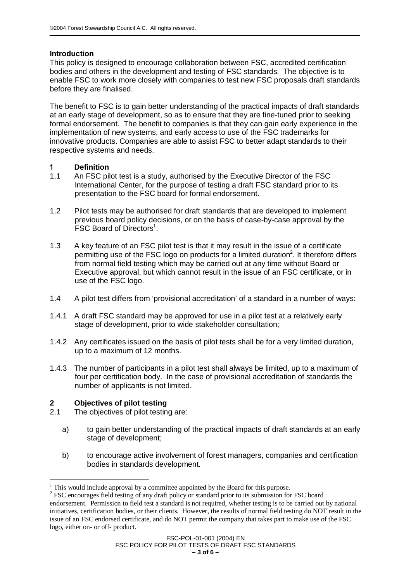### **Introduction**

This policy is designed to encourage collaboration between FSC, accredited certification bodies and others in the development and testing of FSC standards. The objective is to enable FSC to work more closely with companies to test new FSC proposals draft standards before they are finalised.

The benefit to FSC is to gain better understanding of the practical impacts of draft standards at an early stage of development, so as to ensure that they are fine-tuned prior to seeking formal endorsement. The benefit to companies is that they can gain early experience in the implementation of new systems, and early access to use of the FSC trademarks for innovative products. Companies are able to assist FSC to better adapt standards to their respective systems and needs.

### 1 **Definition**

- 1.1 An FSC pilot test is a study, authorised by the Executive Director of the FSC International Center, for the purpose of testing a draft FSC standard prior to its presentation to the FSC board for formal endorsement.
- 1.2 Pilot tests may be authorised for draft standards that are developed to implement previous board policy decisions, or on the basis of case-by-case approval by the FSC Board of Directors<sup>1</sup>.
- 1.3 A key feature of an FSC pilot test is that it may result in the issue of a certificate permitting use of the FSC logo on products for a limited duration<sup>2</sup>. It therefore differs from normal field testing which may be carried out at any time without Board or Executive approval, but which cannot result in the issue of an FSC certificate, or in use of the FSC logo.
- 1.4 A pilot test differs from 'provisional accreditation' of a standard in a number of ways:
- 1.4.1 A draft FSC standard may be approved for use in a pilot test at a relatively early stage of development, prior to wide stakeholder consultation;
- 1.4.2 Any certificates issued on the basis of pilot tests shall be for a very limited duration, up to a maximum of 12 months.
- 1.4.3 The number of participants in a pilot test shall always be limited, up to a maximum of four per certification body. In the case of provisional accreditation of standards the number of applicants is not limited.

### **2 Objectives of pilot testing**

 $\overline{a}$ 

- 2.1 The objectives of pilot testing are:
	- a) to gain better understanding of the practical impacts of draft standards at an early stage of development;
	- b) to encourage active involvement of forest managers, companies and certification bodies in standards development.

<sup>1</sup> This would include approval by a committee appointed by the Board for this purpose.

<sup>&</sup>lt;sup>2</sup> FSC encourages field testing of any draft policy or standard prior to its submission for FSC board endorsement. Permission to field test a standard is not required, whether testing is to be carried out by national initiatives, certification bodies, or their clients. However, the results of normal field testing do NOT result in the issue of an FSC endorsed certificate, and do NOT permit the company that takes part to make use of the FSC logo, either on- or off- product.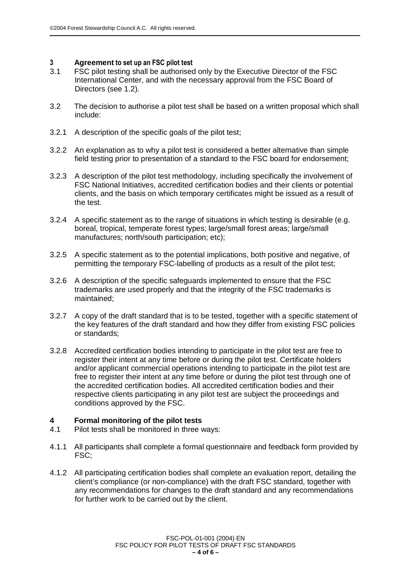## **3 Agreement to set up an FSC pilot test**<br>3.1 **FSC pilot testing shall be authorised**

- FSC pilot testing shall be authorised only by the Executive Director of the FSC International Center, and with the necessary approval from the FSC Board of Directors (see 1.2).
- 3.2 The decision to authorise a pilot test shall be based on a written proposal which shall include:
- 3.2.1 A description of the specific goals of the pilot test;
- 3.2.2 An explanation as to why a pilot test is considered a better alternative than simple field testing prior to presentation of a standard to the FSC board for endorsement;
- 3.2.3 A description of the pilot test methodology, including specifically the involvement of FSC National Initiatives, accredited certification bodies and their clients or potential clients, and the basis on which temporary certificates might be issued as a result of the test.
- 3.2.4 A specific statement as to the range of situations in which testing is desirable (e.g. boreal, tropical, temperate forest types; large/small forest areas; large/small manufactures; north/south participation; etc);
- 3.2.5 A specific statement as to the potential implications, both positive and negative, of permitting the temporary FSC-labelling of products as a result of the pilot test;
- 3.2.6 A description of the specific safeguards implemented to ensure that the FSC trademarks are used properly and that the integrity of the FSC trademarks is maintained;
- 3.2.7 A copy of the draft standard that is to be tested, together with a specific statement of the key features of the draft standard and how they differ from existing FSC policies or standards;
- 3.2.8 Accredited certification bodies intending to participate in the pilot test are free to register their intent at any time before or during the pilot test. Certificate holders and/or applicant commercial operations intending to participate in the pilot test are free to register their intent at any time before or during the pilot test through one of the accredited certification bodies. All accredited certification bodies and their respective clients participating in any pilot test are subject the proceedings and conditions approved by the FSC.

### **4 Formal monitoring of the pilot tests**

- 4.1 Pilot tests shall be monitored in three ways:
- 4.1.1 All participants shall complete a formal questionnaire and feedback form provided by FSC;
- 4.1.2 All participating certification bodies shall complete an evaluation report, detailing the client's compliance (or non-compliance) with the draft FSC standard, together with any recommendations for changes to the draft standard and any recommendations for further work to be carried out by the client.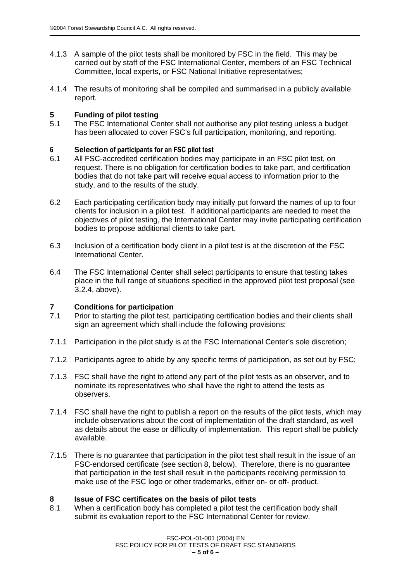- 4.1.3 A sample of the pilot tests shall be monitored by FSC in the field. This may be carried out by staff of the FSC International Center, members of an FSC Technical Committee, local experts, or FSC National Initiative representatives;
- 4.1.4 The results of monitoring shall be compiled and summarised in a publicly available report.

### **5 Funding of pilot testing**

5.1 The FSC International Center shall not authorise any pilot testing unless a budget has been allocated to cover FSC's full participation, monitoring, and reporting.

### 6 **Selection** of participants for an FSC pilot test

- 6.1 All FSC-accredited certification bodies may participate in an FSC pilot test, on request. There is no obligation for certification bodies to take part, and certification bodies that do not take part will receive equal access to information prior to the study, and to the results of the study.
- 6.2 Each participating certification body may initially put forward the names of up to four clients for inclusion in a pilot test. If additional participants are needed to meet the objectives of pilot testing, the International Center may invite participating certification bodies to propose additional clients to take part.
- 6.3 Inclusion of a certification body client in a pilot test is at the discretion of the FSC International Center.
- 6.4 The FSC International Center shall select participants to ensure that testing takes place in the full range of situations specified in the approved pilot test proposal (see 3.2.4, above).

### **7 Conditions for participation**

- 7.1 Prior to starting the pilot test, participating certification bodies and their clients shall sign an agreement which shall include the following provisions:
- 7.1.1 Participation in the pilot study is at the FSC International Center's sole discretion;
- 7.1.2 Participants agree to abide by any specific terms of participation, as set out by FSC;
- 7.1.3 FSC shall have the right to attend any part of the pilot tests as an observer, and to nominate its representatives who shall have the right to attend the tests as observers.
- 7.1.4 FSC shall have the right to publish a report on the results of the pilot tests, which may include observations about the cost of implementation of the draft standard, as well as details about the ease or difficulty of implementation. This report shall be publicly available.
- 7.1.5 There is no guarantee that participation in the pilot test shall result in the issue of an FSC-endorsed certificate (see section 8, below). Therefore, there is no guarantee that participation in the test shall result in the participants receiving permission to make use of the FSC logo or other trademarks, either on- or off- product.

### **8 Issue of FSC certificates on the basis of pilot tests**

8.1 When a certification body has completed a pilot test the certification body shall submit its evaluation report to the FSC International Center for review.